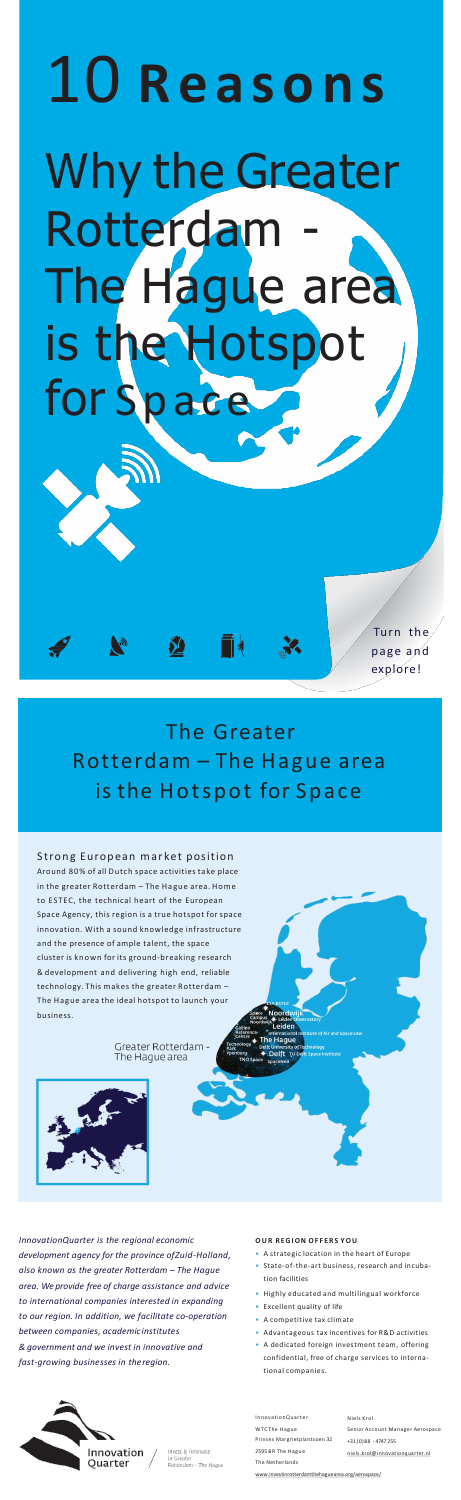Turn the pa ge a nd explore!

# 10 **R e a s o n s** Why the Greater Rotterdam The Hague area is the Hotspot for Space

*InnovationQuarter is the regional economic development agency for the province ofZuid-Holland, also known as the greater Rotterdam – The Hague area. We provide free of charge assistance and advice to international companies interested in expanding to our region. In addition, we facilitate co-operation between companies, academic institutes & government and we invest in innovative and fast-growing businesses in theregion.*

The Greater Rotterdam – The Hague area is the Hotspot for Space

T+

Strong European market position

InnovationQuarter WTC The Hague Prinses Margrietplantsoen 32 2595 BR The Hague The Netherlands

#### **O U R R E G I O N O F F E R S Y O U**

Noordwi Leiden **Haque** 

**Delft** ŢL

- A strategic location in the heart of Europe
- State-of-the-art business, research and incubation facilities
- Highly educated and multilingual workforce
- Excellent quality of life
- A competitive tax climate
- Advantageous tax incentives for R&D activities
- A dedicated foreign investment team, offering confidential, free of charge services to international companies.



invest & innovate Greate Rotterdam - The Haque Niels Krol Senior Account Manager Aerospace +31 (0)88 - 4747 255 [niels.krol@innovationquarter.nl](mailto:niels.krol@innovationquarter.nl)

Around 80% of all Dutch space activities take place in the greater Rotterdam – The Hague area. Home to ESTEC, the technical heart of the European Space Agency, this region is a true hotspot for space innovation. With a sound knowledge infrastructure and the presence of ample talent, the space cluster is known for its ground-breaking research & development and delivering high end, reliable technology. This makes the greater Rotterdam – The Hague area the ideal hotspot to launch your business.

> Greater Rotterdam -The Hague area



[www.investinrotterdamthehaguearea.org/aerospace/](nvestinrotterdamthehaguearea.org/aerospace/)